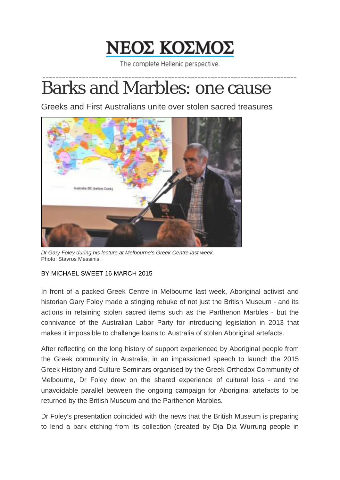

The complete Hellenic perspective. \_\_\_\_\_\_\_\_\_\_\_\_\_\_\_\_\_\_\_\_\_\_\_\_\_\_\_\_\_\_\_\_\_\_\_\_\_\_\_\_\_\_\_\_\_\_\_\_\_\_\_\_\_\_\_\_\_\_\_\_\_\_\_\_\_\_\_\_\_\_\_\_\_\_\_\_\_

## Barks and Marbles: one cause

Greeks and First Australians unite over stolen sacred treasures



*Dr Gary Foley during his lecture at Melbourne's Greek Centre last week.* Photo: Stavros Messinis.

## BY MICHAEL SWEET 16 MARCH 2015

In front of a packed Greek Centre in Melbourne last week, Aboriginal activist and historian Gary Foley made a stinging rebuke of not just the British Museum - and its actions in retaining stolen sacred items such as the Parthenon Marbles - but the connivance of the Australian Labor Party for introducing legislation in 2013 that makes it impossible to challenge loans to Australia of stolen Aboriginal artefacts.

After reflecting on the long history of support experienced by Aboriginal people from the Greek community in Australia, in an impassioned speech to launch the 2015 Greek History and Culture Seminars organised by the Greek Orthodox Community of Melbourne, Dr Foley drew on the shared experience of cultural loss - and the unavoidable parallel between the ongoing campaign for Aboriginal artefacts to be returned by the British Museum and the Parthenon Marbles.

Dr Foley's presentation coincided with the news that the British Museum is preparing to lend a bark etching from its collection (created by Dja Dja Wurrung people in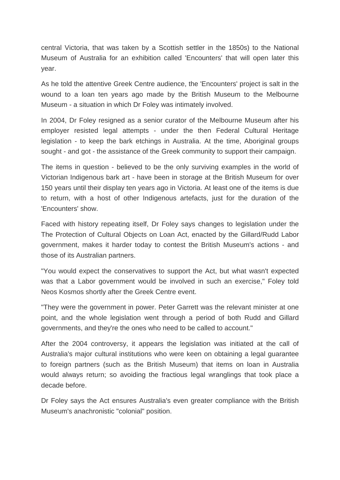central Victoria, that was taken by a Scottish settler in the 1850s) to the National Museum of Australia for an exhibition called 'Encounters' that will open later this year.

As he told the attentive Greek Centre audience, the 'Encounters' project is salt in the wound to a loan ten years ago made by the British Museum to the Melbourne Museum - a situation in which Dr Foley was intimately involved.

In 2004, Dr Foley resigned as a senior curator of the Melbourne Museum after his employer resisted legal attempts - under the then Federal Cultural Heritage legislation - to keep the bark etchings in Australia. At the time, Aboriginal groups sought - and got - the assistance of the Greek community to support their campaign.

The items in question - believed to be the only surviving examples in the world of Victorian Indigenous bark art - have been in storage at the British Museum for over 150 years until their display ten years ago in Victoria. At least one of the items is due to return, with a host of other Indigenous artefacts, just for the duration of the 'Encounters' show.

Faced with history repeating itself, Dr Foley says changes to legislation under the The Protection of Cultural Objects on Loan Act, enacted by the Gillard/Rudd Labor government, makes it harder today to contest the British Museum's actions - and those of its Australian partners.

"You would expect the conservatives to support the Act, but what wasn't expected was that a Labor government would be involved in such an exercise," Foley told Neos Kosmos shortly after the Greek Centre event.

"They were the government in power. Peter Garrett was the relevant minister at one point, and the whole legislation went through a period of both Rudd and Gillard governments, and they're the ones who need to be called to account."

After the 2004 controversy, it appears the legislation was initiated at the call of Australia's major cultural institutions who were keen on obtaining a legal guarantee to foreign partners (such as the British Museum) that items on loan in Australia would always return; so avoiding the fractious legal wranglings that took place a decade before.

Dr Foley says the Act ensures Australia's even greater compliance with the British Museum's anachronistic "colonial" position.